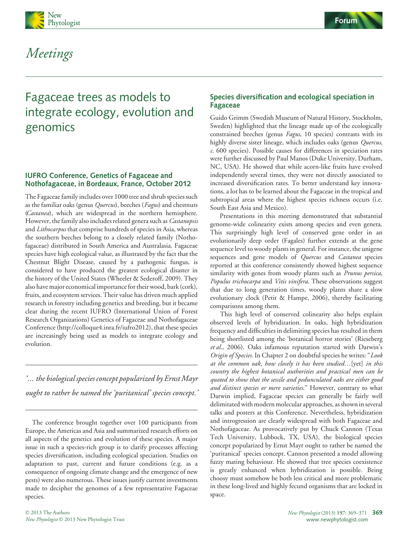



# Meetings

# Fagaceae trees as models to integrate ecology, evolution and genomics

## IUFRO Conference, Genetics of Fagaceae and Nothofagaceae, in Bordeaux, France, October 2012

The Fagaceae family includes over 1000 tree and shrub species such as the familiar oaks (genus Quercus), beeches (Fagus) and chestnuts (Castanea), which are widespread in the northern hemisphere. However, the family also includes related genera such as *Castanopsis* and Lithocarpus that comprise hundreds of species in Asia, whereas the southern beeches belong to a closely related family (Nothofagaceae) distributed in South America and Australasia. Fagaceae species have high ecological value, as illustrated by the fact that the Chestnut Blight Disease, caused by a pathogenic fungus, is considered to have produced the greatest ecological disaster in the history of the United States (Wheeler & Sederoff, 2009). They also have major economical importance for their wood, bark (cork), fruits, and ecosystem services. Their value has driven much applied research in forestry including genetics and breeding, but it became clear during the recent IUFRO (International Union of Forest Research Organizations) Genetics of Fagaceae and Nothofagaceae Conference (http://colloque4.inra.fr/iufro2012), that these species are increasingly being used as models to integrate ecology and evolution.

'… the biological species concept popularized by Ernst Mayr ought to rather be named the 'puritanical' species concept.'

The conference brought together over 100 participants from Europe, the Americas and Asia and summarized research efforts on all aspects of the genetics and evolution of these species. A major issue in such a species-rich group is to clarify processes affecting species diversification, including ecological speciation. Studies on adaptation to past, current and future conditions (e.g. as a consequence of ongoing climate change and the emergence of new pests) were also numerous. These issues justify current investments made to decipher the genomes of a few representative Fagaceae species.

# Species diversification and ecological speciation in Fagaceae

Guido Grimm (Swedish Museum of Natural History, Stockholm, Sweden) highlighted that the lineage made up of the ecologically constrained beeches (genus Fagus, 10 species) contrasts with its highly diverse sister lineage, which includes oaks (genus Quercus, c. 600 species). Possible causes for differences in speciation rates were further discussed by Paul Manos (Duke University, Durham, NC, USA). He showed that while acorn-like fruits have evolved independently several times, they were not directly associated to increased diversification rates. To better understand key innovations, a lot has to be learned about the Fagaceae in the tropical and subtropical areas where the highest species richness occurs (i.e. South East Asia and Mexico).

Presentations in this meeting demonstrated that substantial genome-wide colinearity exists among species and even genera. This surprisingly high level of conserved gene order in an evolutionarily deep order (Fagales) further extends at the gene sequence level to woody plants in general. For instance, the unigene sequences and gene models of Quercus and Castanea species reported at this conference consistently showed highest sequence similarity with genes from woody plants such as *Prunus persica*, Populus trichocarpa and Vitis vinifera. These observations suggest that due to long generation times, woody plants share a slow evolutionary clock (Petit & Hampe, 2006), thereby facilitating comparisons among them.

This high level of conserved colinearity also helps explain observed levels of hybridization. In oaks, high hybridization frequency and difficulties in delimiting species has resulted in them being shortlisted among the 'botanical horror stories' (Rieseberg et al., 2006). Oaks infamous reputation started with Darwin's Origin of Species. In Chapter 2 on doubtful species he writes: "Look at the common oak, how closely it has been studied…[yet] in this country the highest botanical authorities and practical men can be quoted to show that the sessile and pedunculated oaks are either good and distinct species or mere varieties." However, contrary to what Darwin implied, Fagaceae species can generally be fairly well delimitated with modern molecular approaches, as shown in several talks and posters at this Conference. Nevertheless, hybridization and introgression are clearly widespread with both Fagaceae and Nothofagaceae. As provocatively put by Chuck Cannon (Texas Tech University, Lubbock, TX, USA), the biological species concept popularized by Ernst Mayr ought to rather be named the 'puritanical' species concept. Cannon presented a model allowing fuzzy mating behaviour. He showed that tree species coexistence is greatly enhanced when hybridization is possible. Being choosy must somehow be both less critical and more problematic in these long-lived and highly fecund organisms that are locked in space.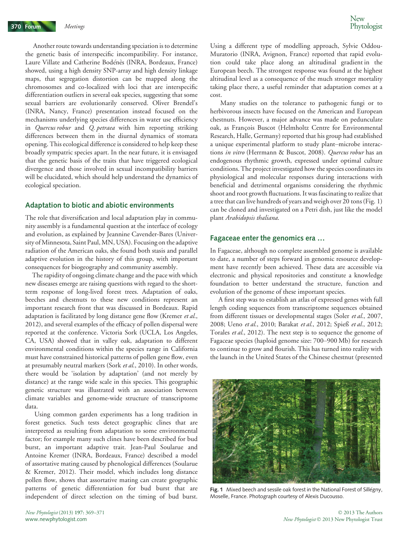Another route towards understanding speciation is to determine the genetic basis of interspecific incompatibility. For instance, Laure Villate and Catherine Bodénès (INRA, Bordeaux, France) showed, using a high density SNP-array and high density linkage maps, that segregation distortion can be mapped along the chromosomes and co-localized with loci that are interspecific differentiation outliers in several oak species, suggesting that some sexual barriers are evolutionarily conserved. Oliver Brendel's (INRA, Nancy, France) presentation instead focused on the mechanisms underlying species differences in water use efficiency in Quercus robur and Q. petraea with him reporting striking differences between them in the diurnal dynamics of stomata opening. This ecological difference is considered to help keep these broadly sympatric species apart. In the near future, it is envisaged that the genetic basis of the traits that have triggered ecological divergence and those involved in sexual incompatibility barriers will be elucidated, which should help understand the dynamics of ecological speciation.

#### Adaptation to biotic and abiotic environments

The role that diversification and local adaptation play in community assembly is a fundamental question at the interface of ecology and evolution, as explained by Jeannine Cavender-Bares (University of Minnesota, Saint Paul, MN, USA). Focusing on the adaptive radiation of the American oaks, she found both stasis and parallel adaptive evolution in the history of this group, with important consequences for biogeography and community assembly.

The rapidity of ongoing climate change and the pace with which new diseases emerge are raising questions with regard to the shortterm response of long-lived forest trees. Adaptation of oaks, beeches and chestnuts to these new conditions represent an important research front that was discussed in Bordeaux. Rapid adaptation is facilitated by long distance gene flow (Kremer et al., 2012), and several examples of the efficacy of pollen dispersal were reported at the conference. Victoria Sork (UCLA, Los Angeles, CA, USA) showed that in valley oak, adaptation to different environmental conditions within the species range in California must have constrained historical patterns of pollen gene flow, even at presumably neutral markers (Sork et al., 2010). In other words, there would be 'isolation by adaptation' (and not merely by distance) at the range wide scale in this species. This geographic genetic structure was illustrated with an association between climate variables and genome-wide structure of transcriptome data.

Using common garden experiments has a long tradition in forest genetics. Such tests detect geographic clines that are interpreted as resulting from adaptation to some environmental factor; for example many such clines have been described for bud burst, an important adaptive trait. Jean-Paul Soularue and Antoine Kremer (INRA, Bordeaux, France) described a model of assortative mating caused by phenological differences (Soularue & Kremer, 2012). Their model, which includes long distance pollen flow, shows that assortative mating can create geographic patterns of genetic differentiation for bud burst that are independent of direct selection on the timing of bud burst.

Using a different type of modelling approach, Sylvie Oddou-Muratorio (INRA, Avignon, France) reported that rapid evolution could take place along an altitudinal gradient in the European beech. The strongest response was found at the highest altitudinal level as a consequence of the much stronger mortality taking place there, a useful reminder that adaptation comes at a cost.

Many studies on the tolerance to pathogenic fungi or to herbivorous insects have focused on the American and European chestnuts. However, a major advance was made on pedunculate oak, as François Buscot (Helmholtz Centre for Environmental Research, Halle, Germany) reported that his group had established a unique experimental platform to study plant–microbe interactions in vitro (Herrmann & Buscot, 2008). Quercus robur has an endogenous rhythmic growth, expressed under optimal culture conditions. The project investigated how the species coordinates its physiological and molecular responses during interactions with beneficial and detrimental organisms considering the rhythmic shoot and root growth fluctuations. It was fascinating to realize that a tree that can live hundreds of years and weigh over 20 tons (Fig. 1) can be cloned and investigated on a Petri dish, just like the model plant Arabidopsis thaliana.

#### Fagaceae enter the genomics era …

In Fagaceae, although no complete assembled genome is available to date, a number of steps forward in genomic resource development have recently been achieved. These data are accessible via electronic and physical repositories and constitute a knowledge foundation to better understand the structure, function and evolution of the genome of these important species.

A first step was to establish an atlas of expressed genes with full length coding sequences from transcriptome sequences obtained from different tissues or developmental stages (Soler et al., 2007, 2008; Ueno et al., 2010; Barakat et al., 2012; Spieß et al., 2012; Torales et al., 2012). The next step is to sequence the genome of Fagaceae species (haploid genome size: 700–900 Mb) for research to continue to grow and flourish. This has turned into reality with the launch in the United States of the Chinese chestnut (presented



Fig. 1 Mixed beech and sessile oak forest in the National Forest of Sillégny, Moselle, France. Photograph courtesy of Alexis Ducousso.